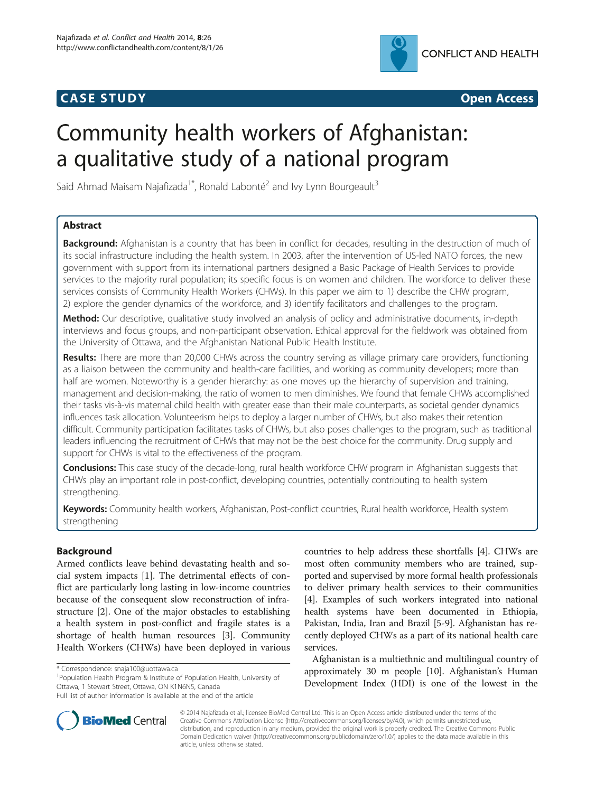# **CASE STUDY CASE STUDY Open Access**



# Community health workers of Afghanistan: a qualitative study of a national program

Said Ahmad Maisam Najafizada<sup>1\*</sup>, Ronald Labonté<sup>2</sup> and Ivy Lynn Bourgeault<sup>3</sup>

# Abstract

Background: Afghanistan is a country that has been in conflict for decades, resulting in the destruction of much of its social infrastructure including the health system. In 2003, after the intervention of US-led NATO forces, the new government with support from its international partners designed a Basic Package of Health Services to provide services to the majority rural population; its specific focus is on women and children. The workforce to deliver these services consists of Community Health Workers (CHWs). In this paper we aim to 1) describe the CHW program, 2) explore the gender dynamics of the workforce, and 3) identify facilitators and challenges to the program.

Method: Our descriptive, qualitative study involved an analysis of policy and administrative documents, in-depth interviews and focus groups, and non-participant observation. Ethical approval for the fieldwork was obtained from the University of Ottawa, and the Afghanistan National Public Health Institute.

Results: There are more than 20,000 CHWs across the country serving as village primary care providers, functioning as a liaison between the community and health-care facilities, and working as community developers; more than half are women. Noteworthy is a gender hierarchy: as one moves up the hierarchy of supervision and training, management and decision-making, the ratio of women to men diminishes. We found that female CHWs accomplished their tasks vis-à-vis maternal child health with greater ease than their male counterparts, as societal gender dynamics influences task allocation. Volunteerism helps to deploy a larger number of CHWs, but also makes their retention difficult. Community participation facilitates tasks of CHWs, but also poses challenges to the program, such as traditional leaders influencing the recruitment of CHWs that may not be the best choice for the community. Drug supply and support for CHWs is vital to the effectiveness of the program.

Conclusions: This case study of the decade-long, rural health workforce CHW program in Afghanistan suggests that CHWs play an important role in post-conflict, developing countries, potentially contributing to health system strengthening.

Keywords: Community health workers, Afghanistan, Post-conflict countries, Rural health workforce, Health system strengthening

# Background

Armed conflicts leave behind devastating health and social system impacts [[1\]](#page-15-0). The detrimental effects of conflict are particularly long lasting in low-income countries because of the consequent slow reconstruction of infrastructure [\[2](#page-15-0)]. One of the major obstacles to establishing a health system in post-conflict and fragile states is a shortage of health human resources [\[3](#page-15-0)]. Community Health Workers (CHWs) have been deployed in various

<sup>1</sup>Population Health Program & Institute of Population Health, University of Ottawa, 1 Stewart Street, Ottawa, ON K1N6N5, Canada

countries to help address these shortfalls [[4\]](#page-15-0). CHWs are most often community members who are trained, supported and supervised by more formal health professionals to deliver primary health services to their communities [[4\]](#page-15-0). Examples of such workers integrated into national health systems have been documented in Ethiopia, Pakistan, India, Iran and Brazil [\[5-9](#page-15-0)]. Afghanistan has recently deployed CHWs as a part of its national health care services.

Afghanistan is a multiethnic and multilingual country of approximately 30 m people [[10\]](#page-15-0). Afghanistan's Human Development Index (HDI) is one of the lowest in the



© 2014 Najafizada et al.; licensee BioMed Central Ltd. This is an Open Access article distributed under the terms of the Creative Commons Attribution License (<http://creativecommons.org/licenses/by/4.0>), which permits unrestricted use, distribution, and reproduction in any medium, provided the original work is properly credited. The Creative Commons Public Domain Dedication waiver [\(http://creativecommons.org/publicdomain/zero/1.0/\)](http://creativecommons.org/publicdomain/zero/1.0/) applies to the data made available in this article, unless otherwise stated.

<sup>\*</sup> Correspondence: [snaja100@uottawa.ca](mailto:snaja100@uottawa.ca) <sup>1</sup>

Full list of author information is available at the end of the article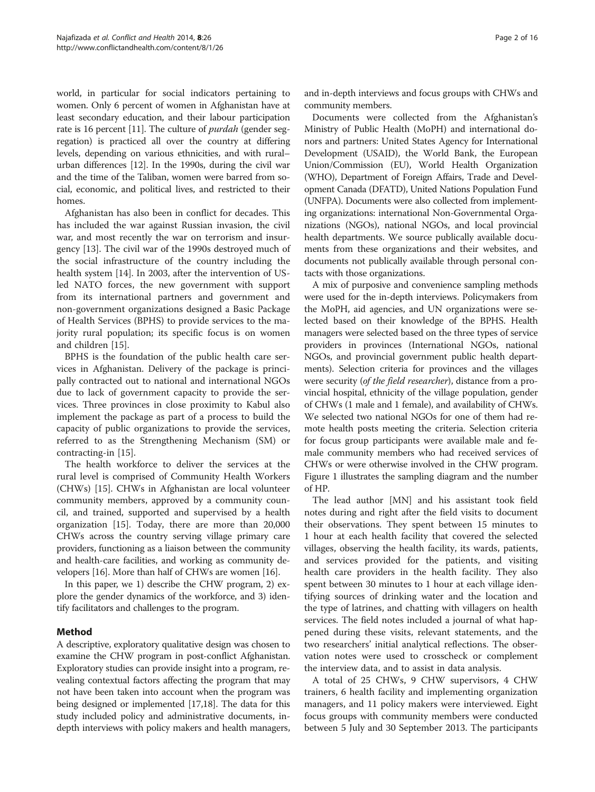world, in particular for social indicators pertaining to women. Only 6 percent of women in Afghanistan have at least secondary education, and their labour participation rate is 16 percent [[11](#page-15-0)]. The culture of purdah (gender segregation) is practiced all over the country at differing levels, depending on various ethnicities, and with rural– urban differences [[12](#page-15-0)]. In the 1990s, during the civil war and the time of the Taliban, women were barred from social, economic, and political lives, and restricted to their homes.

Afghanistan has also been in conflict for decades. This has included the war against Russian invasion, the civil war, and most recently the war on terrorism and insurgency [\[13](#page-15-0)]. The civil war of the 1990s destroyed much of the social infrastructure of the country including the health system [[14](#page-15-0)]. In 2003, after the intervention of USled NATO forces, the new government with support from its international partners and government and non-government organizations designed a Basic Package of Health Services (BPHS) to provide services to the majority rural population; its specific focus is on women and children [\[15](#page-15-0)].

BPHS is the foundation of the public health care services in Afghanistan. Delivery of the package is principally contracted out to national and international NGOs due to lack of government capacity to provide the services. Three provinces in close proximity to Kabul also implement the package as part of a process to build the capacity of public organizations to provide the services, referred to as the Strengthening Mechanism (SM) or contracting-in [[15\]](#page-15-0).

The health workforce to deliver the services at the rural level is comprised of Community Health Workers (CHWs) [[15\]](#page-15-0). CHWs in Afghanistan are local volunteer community members, approved by a community council, and trained, supported and supervised by a health organization [\[15\]](#page-15-0). Today, there are more than 20,000 CHWs across the country serving village primary care providers, functioning as a liaison between the community and health-care facilities, and working as community developers [\[16\]](#page-15-0). More than half of CHWs are women [[16](#page-15-0)].

In this paper, we 1) describe the CHW program, 2) explore the gender dynamics of the workforce, and 3) identify facilitators and challenges to the program.

# Method

A descriptive, exploratory qualitative design was chosen to examine the CHW program in post-conflict Afghanistan. Exploratory studies can provide insight into a program, revealing contextual factors affecting the program that may not have been taken into account when the program was being designed or implemented [[17,18\]](#page-15-0). The data for this study included policy and administrative documents, indepth interviews with policy makers and health managers,

and in-depth interviews and focus groups with CHWs and community members.

Documents were collected from the Afghanistan's Ministry of Public Health (MoPH) and international donors and partners: United States Agency for International Development (USAID), the World Bank, the European Union/Commission (EU), World Health Organization (WHO), Department of Foreign Affairs, Trade and Development Canada (DFATD), United Nations Population Fund (UNFPA). Documents were also collected from implementing organizations: international Non-Governmental Organizations (NGOs), national NGOs, and local provincial health departments. We source publically available documents from these organizations and their websites, and documents not publically available through personal contacts with those organizations.

A mix of purposive and convenience sampling methods were used for the in-depth interviews. Policymakers from the MoPH, aid agencies, and UN organizations were selected based on their knowledge of the BPHS. Health managers were selected based on the three types of service providers in provinces (International NGOs, national NGOs, and provincial government public health departments). Selection criteria for provinces and the villages were security (of the field researcher), distance from a provincial hospital, ethnicity of the village population, gender of CHWs (1 male and 1 female), and availability of CHWs. We selected two national NGOs for one of them had remote health posts meeting the criteria. Selection criteria for focus group participants were available male and female community members who had received services of CHWs or were otherwise involved in the CHW program. Figure [1](#page-2-0) illustrates the sampling diagram and the number of HP.

The lead author [MN] and his assistant took field notes during and right after the field visits to document their observations. They spent between 15 minutes to 1 hour at each health facility that covered the selected villages, observing the health facility, its wards, patients, and services provided for the patients, and visiting health care providers in the health facility. They also spent between 30 minutes to 1 hour at each village identifying sources of drinking water and the location and the type of latrines, and chatting with villagers on health services. The field notes included a journal of what happened during these visits, relevant statements, and the two researchers' initial analytical reflections. The observation notes were used to crosscheck or complement the interview data, and to assist in data analysis.

A total of 25 CHWs, 9 CHW supervisors, 4 CHW trainers, 6 health facility and implementing organization managers, and 11 policy makers were interviewed. Eight focus groups with community members were conducted between 5 July and 30 September 2013. The participants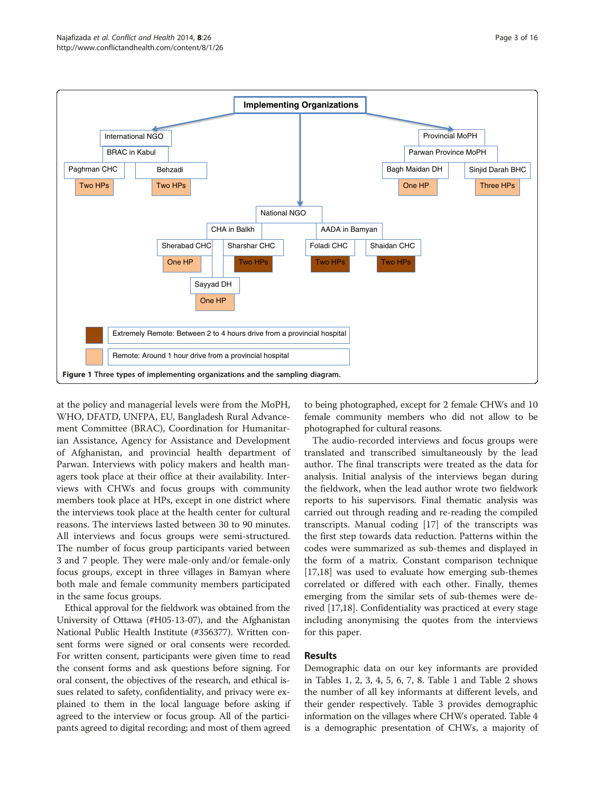<span id="page-2-0"></span>

at the policy and managerial levels were from the MoPH, WHO, DFATD, UNFPA, EU, Bangladesh Rural Advancement Committee (BRAC), Coordination for Humanitarian Assistance, Agency for Assistance and Development of Afghanistan, and provincial health department of Parwan. Interviews with policy makers and health managers took place at their office at their availability. Interviews with CHWs and focus groups with community members took place at HPs, except in one district where the interviews took place at the health center for cultural reasons. The interviews lasted between 30 to 90 minutes. All interviews and focus groups were semi-structured. The number of focus group participants varied between 3 and 7 people. They were male-only and/or female-only focus groups, except in three villages in Bamyan where both male and female community members participated in the same focus groups.

Ethical approval for the fieldwork was obtained from the University of Ottawa (#H05-13-07), and the Afghanistan National Public Health Institute (#356377). Written consent forms were signed or oral consents were recorded. For written consent, participants were given time to read the consent forms and ask questions before signing. For oral consent, the objectives of the research, and ethical issues related to safety, confidentiality, and privacy were explained to them in the local language before asking if agreed to the interview or focus group. All of the participants agreed to digital recording; and most of them agreed to being photographed, except for 2 female CHWs and 10 female community members who did not allow to be photographed for cultural reasons.

The audio-recorded interviews and focus groups were translated and transcribed simultaneously by the lead author. The final transcripts were treated as the data for analysis. Initial analysis of the interviews began during the fieldwork, when the lead author wrote two fieldwork reports to his supervisors. Final thematic analysis was carried out through reading and re-reading the compiled transcripts. Manual coding [[17](#page-15-0)] of the transcripts was the first step towards data reduction. Patterns within the codes were summarized as sub-themes and displayed in the form of a matrix. Constant comparison technique [[17,18\]](#page-15-0) was used to evaluate how emerging sub-themes correlated or differed with each other. Finally, themes emerging from the similar sets of sub-themes were derived [\[17,18\]](#page-15-0). Confidentiality was practiced at every stage including anonymising the quotes from the interviews for this paper.

### Results

Demographic data on our key informants are provided in Tables [1](#page-3-0), [2](#page-3-0), [3,](#page-4-0) [4](#page-5-0), [5,](#page-5-0) [6, 7](#page-6-0), [8.](#page-7-0) Table [1](#page-3-0) and Table [2](#page-3-0) shows the number of all key informants at different levels, and their gender respectively. Table [3](#page-4-0) provides demographic information on the villages where CHWs operated. Table [4](#page-5-0) is a demographic presentation of CHWs, a majority of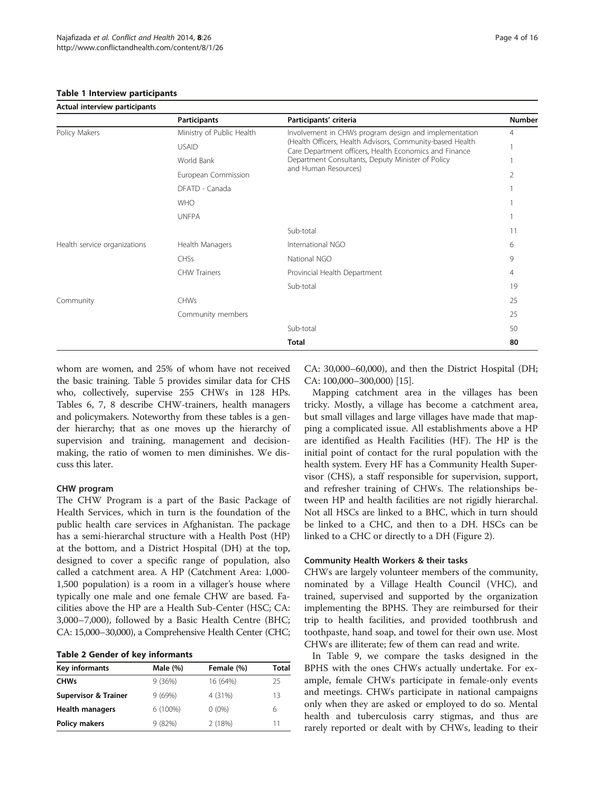#### <span id="page-3-0"></span>Table 1 Interview participants

| Actual interview participants |                           |                                                                                                                     |                |
|-------------------------------|---------------------------|---------------------------------------------------------------------------------------------------------------------|----------------|
|                               | Participants              | Participants' criteria                                                                                              | <b>Number</b>  |
| Policy Makers                 | Ministry of Public Health | Involvement in CHWs program design and implementation                                                               | $\overline{4}$ |
|                               | <b>USAID</b>              | (Health Officers, Health Advisors, Community-based Health<br>Care Department officers, Health Economics and Finance |                |
|                               | World Bank                | Department Consultants, Deputy Minister of Policy                                                                   |                |
|                               | European Commission       | and Human Resources)                                                                                                | 2              |
|                               | DFATD - Canada            |                                                                                                                     |                |
|                               | <b>WHO</b>                |                                                                                                                     |                |
|                               | <b>UNFPA</b>              |                                                                                                                     |                |
|                               |                           | Sub-total                                                                                                           | 11             |
| Health service organizations  | Health Managers           | International NGO                                                                                                   | 6              |
|                               | <b>CHSs</b>               | National NGO                                                                                                        | 9              |
|                               | <b>CHW Trainers</b>       | Provincial Health Department                                                                                        | $\overline{4}$ |
|                               |                           | Sub-total                                                                                                           | 19             |
| Community                     | <b>CHWs</b>               |                                                                                                                     | 25             |
|                               | Community members         |                                                                                                                     | 25             |
|                               |                           | Sub-total                                                                                                           | 50             |
|                               |                           | Total                                                                                                               | 80             |

whom are women, and 25% of whom have not received the basic training. Table [5](#page-5-0) provides similar data for CHS who, collectively, supervise 255 CHWs in 128 HPs. Tables [6, 7,](#page-6-0) [8](#page-7-0) describe CHW-trainers, health managers

and policymakers. Noteworthy from these tables is a gender hierarchy; that as one moves up the hierarchy of supervision and training, management and decisionmaking, the ratio of women to men diminishes. We discuss this later.

### CHW program

The CHW Program is a part of the Basic Package of Health Services, which in turn is the foundation of the public health care services in Afghanistan. The package has a semi-hierarchal structure with a Health Post (HP) at the bottom, and a District Hospital (DH) at the top, designed to cover a specific range of population, also called a catchment area. A HP (Catchment Area: 1,000- 1,500 population) is a room in a villager's house where typically one male and one female CHW are based. Facilities above the HP are a Health Sub-Center (HSC; CA: 3,000–7,000), followed by a Basic Health Centre (BHC; CA: 15,000–30,000), a Comprehensive Health Center (CHC;

| Key informants                  | Male $(\%)$ | Female (%) | Total |
|---------------------------------|-------------|------------|-------|
| <b>CHWs</b>                     | 9(36%)      | 16 (64%)   | 25    |
| <b>Supervisor &amp; Trainer</b> | 9(69%)      | 4 (31%)    | 13    |
| <b>Health managers</b>          | 6 (100%)    | $0(0\%)$   | 6     |
| <b>Policy makers</b>            | 9(82%)      | 2(18%)     | 11    |

CA: 30,000–60,000), and then the District Hospital (DH; CA: 100,000–300,000) [\[15](#page-15-0)].

Mapping catchment area in the villages has been tricky. Mostly, a village has become a catchment area, but small villages and large villages have made that mapping a complicated issue. All establishments above a HP are identified as Health Facilities (HF). The HP is the initial point of contact for the rural population with the health system. Every HF has a Community Health Supervisor (CHS), a staff responsible for supervision, support, and refresher training of CHWs. The relationships between HP and health facilities are not rigidly hierarchal. Not all HSCs are linked to a BHC, which in turn should be linked to a CHC, and then to a DH. HSCs can be linked to a CHC or directly to a DH (Figure [2\)](#page-7-0).

#### Community Health Workers & their tasks

CHWs are largely volunteer members of the community, nominated by a Village Health Council (VHC), and trained, supervised and supported by the organization implementing the BPHS. They are reimbursed for their trip to health facilities, and provided toothbrush and toothpaste, hand soap, and towel for their own use. Most CHWs are illiterate; few of them can read and write.

In Table [9,](#page-8-0) we compare the tasks designed in the BPHS with the ones CHWs actually undertake. For example, female CHWs participate in female-only events and meetings. CHWs participate in national campaigns only when they are asked or employed to do so. Mental health and tuberculosis carry stigmas, and thus are rarely reported or dealt with by CHWs, leading to their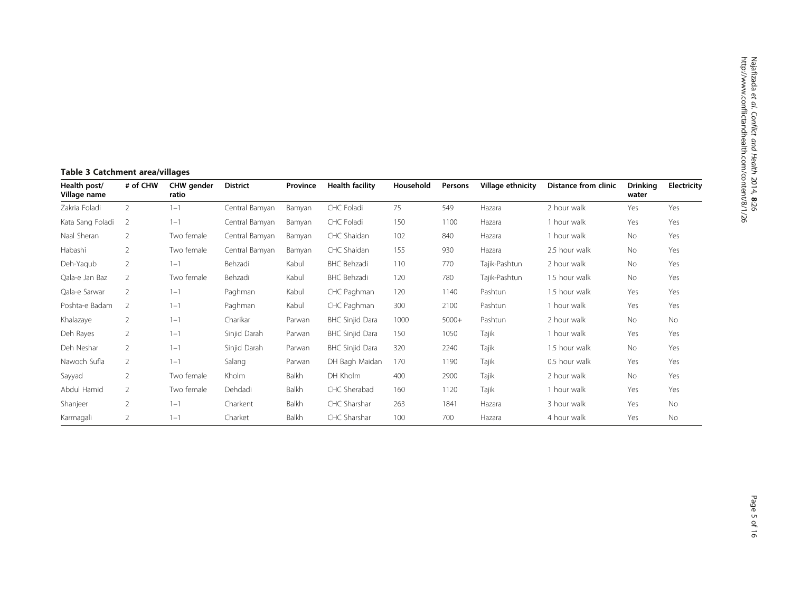| Table 5 Catchment area/villages |                |                     |                 |          |                        |           |         |                          |                      |                          |             |
|---------------------------------|----------------|---------------------|-----------------|----------|------------------------|-----------|---------|--------------------------|----------------------|--------------------------|-------------|
| Health post/<br>Village name    | # of CHW       | CHW gender<br>ratio | <b>District</b> | Province | <b>Health facility</b> | Household | Persons | <b>Village ethnicity</b> | Distance from clinic | <b>Drinking</b><br>water | Electricity |
| Zakria Foladi                   | 2              | $1 - 1$             | Central Bamyan  | Bamyan   | CHC Foladi             | 75        | 549     | Hazara                   | 2 hour walk          | Yes                      | Yes         |
| Kata Sang Foladi                | 2              | $1 - 1$             | Central Bamyan  | Bamyan   | CHC Foladi             | 150       | 1100    | Hazara                   | 1 hour walk          | Yes                      | Yes         |
| Naal Sheran                     | $\overline{2}$ | Two female          | Central Bamyan  | Bamyan   | CHC Shaidan            | 102       | 840     | Hazara                   | 1 hour walk          | <b>No</b>                | Yes         |
| Habashi                         | $\overline{2}$ | Two female          | Central Bamyan  | Bamyan   | CHC Shaidan            | 155       | 930     | Hazara                   | 2.5 hour walk        | <b>No</b>                | Yes         |
| Deh-Yaqub                       | $\overline{2}$ | $1 - 1$             | Behzadi         | Kabul    | <b>BHC Behzadi</b>     | 110       | 770     | Tajik-Pashtun            | 2 hour walk          | <b>No</b>                | Yes         |
| Qala-e Jan Baz                  | 2              | Two female          | Behzadi         | Kabul    | <b>BHC Behzadi</b>     | 120       | 780     | Tajik-Pashtun            | 1.5 hour walk        | <b>No</b>                | Yes         |
| Qala-e Sarwar                   | $\overline{2}$ | $1 - 1$             | Paghman         | Kabul    | CHC Paghman            | 120       | 1140    | Pashtun                  | 1.5 hour walk        | Yes                      | Yes         |
| Poshta-e Badam                  | 2              | $1 - 1$             | Paghman         | Kabul    | CHC Paghman            | 300       | 2100    | Pashtun                  | 1 hour walk          | Yes                      | Yes         |
| Khalazaye                       | 2              | $1 - 1$             | Charikar        | Parwan   | <b>BHC Sinjid Dara</b> | 1000      | $5000+$ | Pashtun                  | 2 hour walk          | <b>No</b>                | No          |
| Deh Rayes                       | $\overline{2}$ | $1 - 1$             | Sinjid Darah    | Parwan   | <b>BHC Sinjid Dara</b> | 150       | 1050    | Tajik                    | 1 hour walk          | Yes                      | Yes         |
| Deh Neshar                      | $\overline{2}$ | $1 - 1$             | Sinjid Darah    | Parwan   | <b>BHC Sinjid Dara</b> | 320       | 2240    | Tajik                    | 1.5 hour walk        | No                       | Yes         |
| Nawoch Sufla                    | 2              | $1 - 1$             | Salang          | Parwan   | DH Bagh Maidan         | 170       | 1190    | Tajik                    | 0.5 hour walk        | Yes                      | Yes         |
| Sayyad                          | 2              | Two female          | Kholm           | Balkh    | DH Kholm               | 400       | 2900    | Tajik                    | 2 hour walk          | <b>No</b>                | Yes         |
| Abdul Hamid                     | $\overline{2}$ | Two female          | Dehdadi         | Balkh    | CHC Sherabad           | 160       | 1120    | Tajik                    | 1 hour walk          | Yes                      | Yes         |
| Shanjeer                        | 2              | $1 - 1$             | Charkent        | Balkh    | CHC Sharshar           | 263       | 1841    | Hazara                   | 3 hour walk          | Yes                      | <b>No</b>   |
| Karmagali                       | $\overline{2}$ | $1 - 1$             | Charket         | Balkh    | CHC Sharshar           | 100       | 700     | Hazara                   | 4 hour walk          | Yes                      | <b>No</b>   |

### <span id="page-4-0"></span>Table 3 Catchment area/villages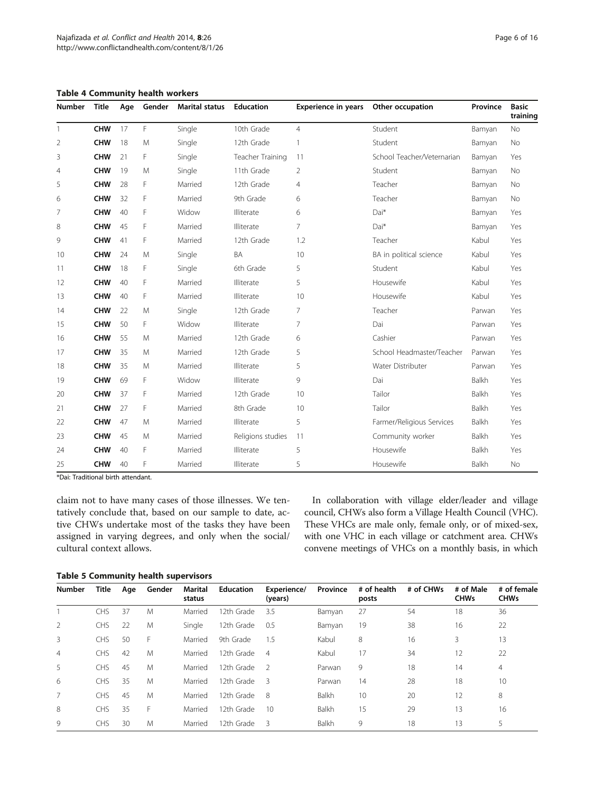<span id="page-5-0"></span>

| <b>Table 4 Community health workers</b> |  |  |
|-----------------------------------------|--|--|
|-----------------------------------------|--|--|

| <b>Number</b> | <b>Title</b> | Age | Gender | <b>Marital status</b> | Education         | <b>Experience in years</b> | Other occupation           | Province | <b>Basic</b><br>training |
|---------------|--------------|-----|--------|-----------------------|-------------------|----------------------------|----------------------------|----------|--------------------------|
| 1             | <b>CHW</b>   | 17  | F.     | Single                | 10th Grade        | $\overline{4}$             | Student                    | Bamyan   | No                       |
| 2             | <b>CHW</b>   | 18  | M      | Single                | 12th Grade        | $\mathbf{1}$               | Student                    | Bamyan   | <b>No</b>                |
| 3             | <b>CHW</b>   | 21  | F      | Single                | Teacher Training  | 11                         | School Teacher/Veternarian | Bamyan   | Yes                      |
| 4             | <b>CHW</b>   | 19  | M      | Single                | 11th Grade        | $\overline{2}$             | Student                    | Bamyan   | No                       |
| 5             | <b>CHW</b>   | 28  | F      | Married               | 12th Grade        | $\overline{4}$             | Teacher                    | Bamyan   | <b>No</b>                |
| 6             | <b>CHW</b>   | 32  | F      | Married               | 9th Grade         | 6                          | Teacher                    | Bamyan   | No                       |
| 7             | <b>CHW</b>   | 40  | F      | Widow                 | Illiterate        | 6                          | Dai*                       | Bamyan   | Yes                      |
| 8             | <b>CHW</b>   | 45  | F      | Married               | Illiterate        | $\overline{7}$             | Dai*                       | Bamyan   | Yes                      |
| 9             | <b>CHW</b>   | 41  | F      | Married               | 12th Grade        | 1.2                        | Teacher                    | Kabul    | Yes                      |
| 10            | <b>CHW</b>   | 24  | M      | Single                | BA                | 10                         | BA in political science    | Kabul    | Yes                      |
| 11            | <b>CHW</b>   | 18  | F      | Single                | 6th Grade         | 5                          | Student                    | Kabul    | Yes                      |
| 12            | <b>CHW</b>   | 40  | F      | Married               | Illiterate        | 5                          | Housewife                  | Kabul    | Yes                      |
| 13            | <b>CHW</b>   | 40  | F      | Married               | Illiterate        | 10                         | Housewife                  | Kabul    | Yes                      |
| 14            | <b>CHW</b>   | 22  | M      | Single                | 12th Grade        | $\overline{7}$             | Teacher                    | Parwan   | Yes                      |
| 15            | <b>CHW</b>   | 50  | F      | Widow                 | Illiterate        | 7                          | Dai                        | Parwan   | Yes                      |
| 16            | <b>CHW</b>   | 55  | M      | Married               | 12th Grade        | 6                          | Cashier                    | Parwan   | Yes                      |
| 17            | <b>CHW</b>   | 35  | M      | Married               | 12th Grade        | 5                          | School Headmaster/Teacher  | Parwan   | Yes                      |
| 18            | <b>CHW</b>   | 35  | M      | Married               | Illiterate        | 5                          | Water Distributer          | Parwan   | Yes                      |
| 19            | <b>CHW</b>   | 69  | F      | Widow                 | Illiterate        | 9                          | Dai                        | Balkh    | Yes                      |
| 20            | <b>CHW</b>   | 37  | F      | Married               | 12th Grade        | 10                         | Tailor                     | Balkh    | Yes                      |
| 21            | <b>CHW</b>   | 27  | F      | Married               | 8th Grade         | 10                         | Tailor                     | Balkh    | Yes                      |
| 22            | <b>CHW</b>   | 47  | M      | Married               | Illiterate        | 5                          | Farmer/Religious Services  | Balkh    | Yes                      |
| 23            | <b>CHW</b>   | 45  | M      | Married               | Religions studies | 11                         | Community worker           | Balkh    | Yes                      |
| 24            | <b>CHW</b>   | 40  | F      | Married               | Illiterate        | 5                          | Housewife                  | Balkh    | Yes                      |
| 25            | <b>CHW</b>   | 40  | F      | Married               | Illiterate        | 5                          | Housewife                  | Balkh    | No                       |

\*Dai: Traditional birth attendant.

claim not to have many cases of those illnesses. We tentatively conclude that, based on our sample to date, active CHWs undertake most of the tasks they have been assigned in varying degrees, and only when the social/ cultural context allows.

In collaboration with village elder/leader and village council, CHWs also form a Village Health Council (VHC). These VHCs are male only, female only, or of mixed-sex, with one VHC in each village or catchment area. CHWs convene meetings of VHCs on a monthly basis, in which

Table 5 Community health supervisors

| <b>Number</b>  | Title           | Age | Gender | Marital<br>status | <b>Education</b> | Experience/<br>(years) | Province | # of health<br>posts | # of CHWs | # of Male<br><b>CHWs</b> | # of female<br><b>CHWs</b> |
|----------------|-----------------|-----|--------|-------------------|------------------|------------------------|----------|----------------------|-----------|--------------------------|----------------------------|
|                | CHS             | 37  | M      | Married           | 12th Grade       | 3.5                    | Bamyan   | 27                   | 54        | 18                       | 36                         |
|                | <b>CHS</b>      | 22  | M      | Single            | 12th Grade       | 0.5                    | Bamyan   | 19                   | 38        | 16                       | 22                         |
| 3              | <b>CHS</b>      | 50  | F      | Married           | 9th Grade        | 1.5                    | Kabul    | 8                    | 16        | 3                        | 13                         |
| $\overline{4}$ | <b>CHS</b>      | 42  | M      | Married           | 12th Grade       | 4                      | Kabul    | 17                   | 34        | 12                       | 22                         |
| 5              | CH <sub>S</sub> | 45  | M      | Married           | 12th Grade       | $\overline{2}$         | Parwan   | 9                    | 18        | 14                       | 4                          |
| 6              | CHS.            | 35  | M      | Married           | 12th Grade       | - 3                    | Parwan   | 14                   | 28        | 18                       | 10                         |
|                | <b>CHS</b>      | 45  | M      | Married           | 12th Grade       | -8                     | Balkh    | 10                   | 20        | 12                       | 8                          |
| 8              | <b>CHS</b>      | 35  | F      | Married           | 12th Grade       | 10                     | Balkh    | 15                   | 29        | 13                       | 16                         |
| 9              | CHS             | 30  | M      | Married           | 12th Grade       | 3                      | Balkh    | 9                    | 18        | 13                       | 5                          |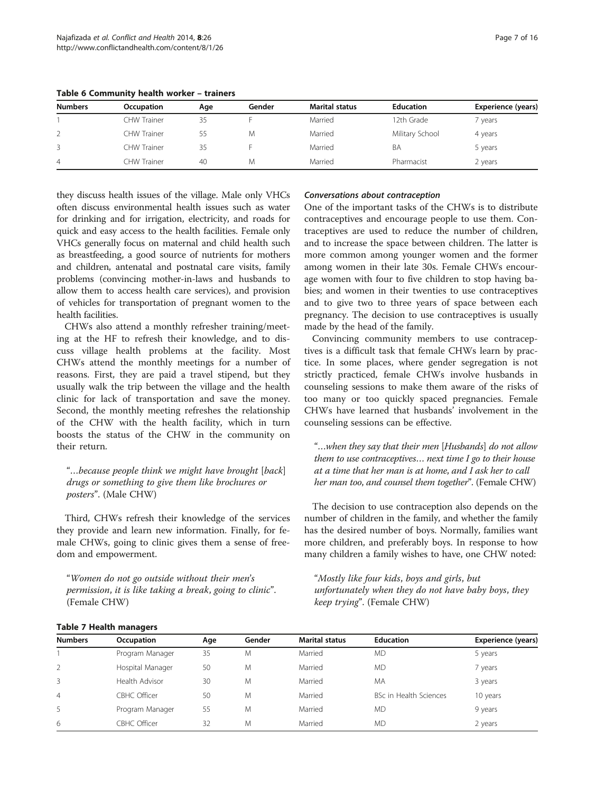| <b>Numbers</b> | Occupation         | Age | Gender | <b>Marital status</b> | <b>Education</b> | <b>Experience (years)</b> |
|----------------|--------------------|-----|--------|-----------------------|------------------|---------------------------|
|                | CHW Trainer        | 35  |        | Married               | 12th Grade       | 7 years                   |
|                | <b>CHW Trainer</b> | 55  | M      | Married               | Military School  | 4 years                   |
|                | <b>CHW Trainer</b> | 35  |        | Married               | BA               | 5 years                   |
| 4              | <b>CHW Trainer</b> | 40  | M      | Married               | Pharmacist       | 2 years                   |

<span id="page-6-0"></span>Table 6 Community health worker – trainers

they discuss health issues of the village. Male only VHCs often discuss environmental health issues such as water for drinking and for irrigation, electricity, and roads for quick and easy access to the health facilities. Female only VHCs generally focus on maternal and child health such as breastfeeding, a good source of nutrients for mothers and children, antenatal and postnatal care visits, family problems (convincing mother-in-laws and husbands to allow them to access health care services), and provision of vehicles for transportation of pregnant women to the health facilities.

CHWs also attend a monthly refresher training/meeting at the HF to refresh their knowledge, and to discuss village health problems at the facility. Most CHWs attend the monthly meetings for a number of reasons. First, they are paid a travel stipend, but they usually walk the trip between the village and the health clinic for lack of transportation and save the money. Second, the monthly meeting refreshes the relationship of the CHW with the health facility, which in turn boosts the status of the CHW in the community on their return.

# "…because people think we might have brought [back] drugs or something to give them like brochures or posters". (Male CHW)

Third, CHWs refresh their knowledge of the services they provide and learn new information. Finally, for female CHWs, going to clinic gives them a sense of freedom and empowerment.

"Women do not go outside without their men's permission, it is like taking a break, going to clinic". (Female CHW)

One of the important tasks of the CHWs is to distribute contraceptives and encourage people to use them. Contraceptives are used to reduce the number of children, and to increase the space between children. The latter is more common among younger women and the former among women in their late 30s. Female CHWs encourage women with four to five children to stop having babies; and women in their twenties to use contraceptives and to give two to three years of space between each pregnancy. The decision to use contraceptives is usually made by the head of the family.

Convincing community members to use contraceptives is a difficult task that female CHWs learn by practice. In some places, where gender segregation is not strictly practiced, female CHWs involve husbands in counseling sessions to make them aware of the risks of too many or too quickly spaced pregnancies. Female CHWs have learned that husbands' involvement in the counseling sessions can be effective.

"…when they say that their men [Husbands] do not allow them to use contraceptives... next time  $I$  go to their house at a time that her man is at home, and I ask her to call her man too, and counsel them together". (Female CHW)

The decision to use contraception also depends on the number of children in the family, and whether the family has the desired number of boys. Normally, families want more children, and preferably boys. In response to how many children a family wishes to have, one CHW noted:

"Mostly like four kids, boys and girls, but unfortunately when they do not have baby boys, they keep trying". (Female CHW)

| <b>Numbers</b> | <b>Occupation</b> | Age | Gender | <b>Marital status</b> | <b>Education</b>       | Experience (years) |
|----------------|-------------------|-----|--------|-----------------------|------------------------|--------------------|
|                | Program Manager   | 35  | M      | Married               | <b>MD</b>              | 5 years            |
|                | Hospital Manager  | 50  | M      | Married               | <b>MD</b>              | 7 years            |
| 3              | Health Advisor    | 30  | M      | Married               | MA                     | 3 years            |
| 4              | CBHC Officer      | 50  | M      | Married               | BSc in Health Sciences | 10 years           |
| .5             | Program Manager   | 55  | M      | Married               | <b>MD</b>              | 9 years            |
| 6              | CBHC Officer      | 32  | M      | Married               | <b>MD</b>              | 2 years            |

#### Table 7 Health managers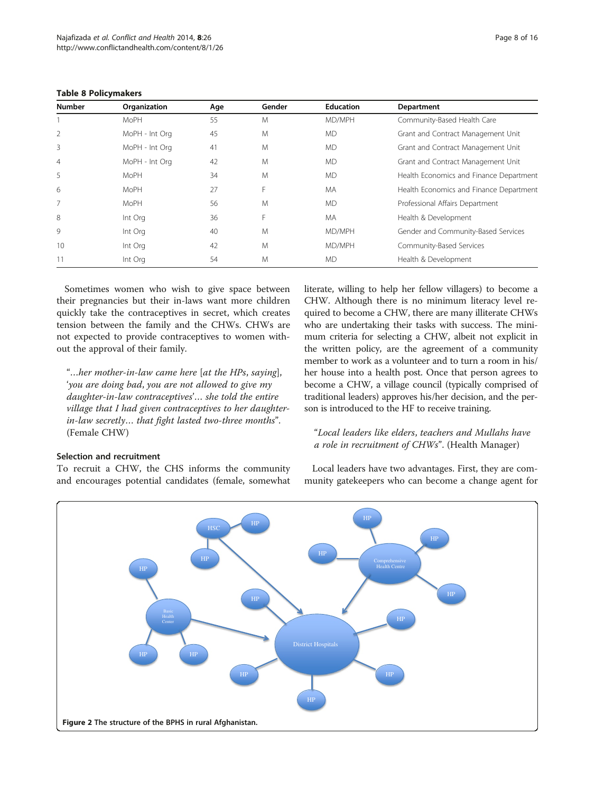| Number | Organization   | Age | Gender | <b>Education</b> | Department                              |
|--------|----------------|-----|--------|------------------|-----------------------------------------|
|        | <b>MoPH</b>    | 55  | M      | MD/MPH           | Community-Based Health Care             |
|        | MoPH - Int Org | 45  | M      | <b>MD</b>        | Grant and Contract Management Unit      |
| 3      | MoPH - Int Org | 41  | M      | <b>MD</b>        | Grant and Contract Management Unit      |
| 4      | MoPH - Int Org | 42  | M      | <b>MD</b>        | Grant and Contract Management Unit      |
| 5      | MoPH           | 34  | M      | <b>MD</b>        | Health Economics and Finance Department |
| 6      | <b>MoPH</b>    | 27  | F      | <b>MA</b>        | Health Economics and Finance Department |
| 7      | MoPH           | 56  | M      | <b>MD</b>        | Professional Affairs Department         |
| 8      | Int Org        | 36  | F      | MA               | Health & Development                    |
| 9      | Int Org        | 40  | M      | MD/MPH           | Gender and Community-Based Services     |
| 10     | Int Org        | 42  | M      | MD/MPH           | Community-Based Services                |
| 11     | Int Org        | 54  | M      | <b>MD</b>        | Health & Development                    |
|        |                |     |        |                  |                                         |

#### <span id="page-7-0"></span>Table 8 Policymakers

Sometimes women who wish to give space between their pregnancies but their in-laws want more children quickly take the contraceptives in secret, which creates tension between the family and the CHWs. CHWs are not expected to provide contraceptives to women without the approval of their family.

"…her mother-in-law came here [at the HPs, saying], 'you are doing bad, you are not allowed to give my daughter-in-law contraceptives'… she told the entire village that I had given contraceptives to her daughterin-law secretly… that fight lasted two-three months". (Female CHW)

### Selection and recruitment

To recruit a CHW, the CHS informs the community and encourages potential candidates (female, somewhat literate, willing to help her fellow villagers) to become a CHW. Although there is no minimum literacy level required to become a CHW, there are many illiterate CHWs who are undertaking their tasks with success. The minimum criteria for selecting a CHW, albeit not explicit in the written policy, are the agreement of a community member to work as a volunteer and to turn a room in his/ her house into a health post. Once that person agrees to become a CHW, a village council (typically comprised of traditional leaders) approves his/her decision, and the person is introduced to the HF to receive training.

### "Local leaders like elders, teachers and Mullahs have a role in recruitment of CHWs". (Health Manager)

Local leaders have two advantages. First, they are community gatekeepers who can become a change agent for

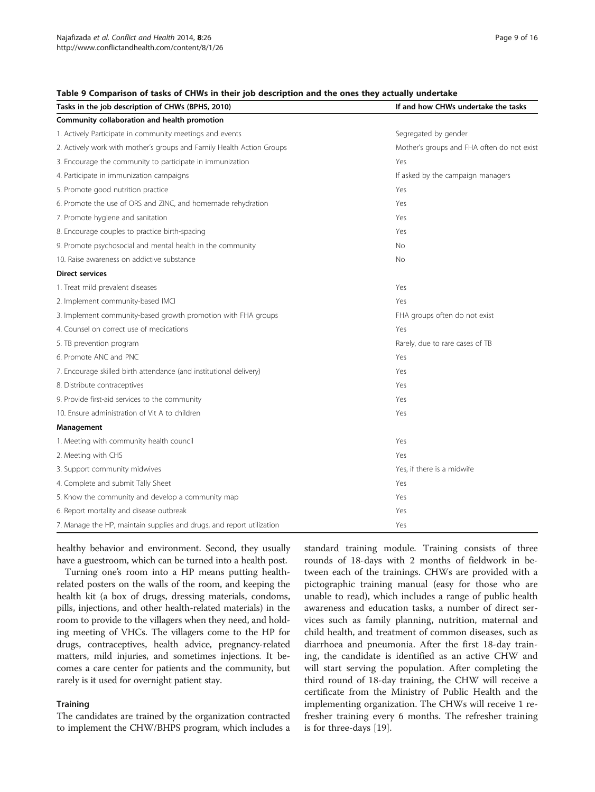| Tasks in the job description of CHWs (BPHS, 2010)                     | If and how CHWs undertake the tasks        |
|-----------------------------------------------------------------------|--------------------------------------------|
| Community collaboration and health promotion                          |                                            |
| 1. Actively Participate in community meetings and events              | Segregated by gender                       |
| 2. Actively work with mother's groups and Family Health Action Groups | Mother's groups and FHA often do not exist |
| 3. Encourage the community to participate in immunization             | Yes                                        |
| 4. Participate in immunization campaigns                              | If asked by the campaign managers          |
| 5. Promote good nutrition practice                                    | Yes                                        |
| 6. Promote the use of ORS and ZINC, and homemade rehydration          | Yes                                        |
| 7. Promote hygiene and sanitation                                     | Yes                                        |
| 8. Encourage couples to practice birth-spacing                        | Yes                                        |
| 9. Promote psychosocial and mental health in the community            | <b>No</b>                                  |
| 10. Raise awareness on addictive substance                            | No                                         |
| <b>Direct services</b>                                                |                                            |
| 1. Treat mild prevalent diseases                                      | Yes                                        |
| 2. Implement community-based IMCI                                     | Yes                                        |
| 3. Implement community-based growth promotion with FHA groups         | FHA groups often do not exist              |
| 4. Counsel on correct use of medications                              | Yes                                        |
| 5. TB prevention program                                              | Rarely, due to rare cases of TB            |
| 6. Promote ANC and PNC                                                | Yes                                        |
| 7. Encourage skilled birth attendance (and institutional delivery)    | Yes                                        |
| 8. Distribute contraceptives                                          | Yes                                        |
| 9. Provide first-aid services to the community                        | Yes                                        |
| 10. Ensure administration of Vit A to children                        | Yes                                        |
| Management                                                            |                                            |
| 1. Meeting with community health council                              | Yes                                        |
| 2. Meeting with CHS                                                   | Yes                                        |
| 3. Support community midwives                                         | Yes, if there is a midwife                 |
| 4. Complete and submit Tally Sheet                                    | Yes                                        |
| 5. Know the community and develop a community map                     | Yes                                        |
| 6. Report mortality and disease outbreak                              | Yes                                        |
| 7. Manage the HP, maintain supplies and drugs, and report utilization | Yes                                        |

<span id="page-8-0"></span>Table 9 Comparison of tasks of CHWs in their job description and the ones they actually undertake

healthy behavior and environment. Second, they usually have a guestroom, which can be turned into a health post.

Turning one's room into a HP means putting healthrelated posters on the walls of the room, and keeping the health kit (a box of drugs, dressing materials, condoms, pills, injections, and other health-related materials) in the room to provide to the villagers when they need, and holding meeting of VHCs. The villagers come to the HP for drugs, contraceptives, health advice, pregnancy-related matters, mild injuries, and sometimes injections. It becomes a care center for patients and the community, but rarely is it used for overnight patient stay.

### **Training**

The candidates are trained by the organization contracted to implement the CHW/BHPS program, which includes a standard training module. Training consists of three rounds of 18-days with 2 months of fieldwork in between each of the trainings. CHWs are provided with a pictographic training manual (easy for those who are unable to read), which includes a range of public health awareness and education tasks, a number of direct services such as family planning, nutrition, maternal and child health, and treatment of common diseases, such as diarrhoea and pneumonia. After the first 18-day training, the candidate is identified as an active CHW and will start serving the population. After completing the third round of 18-day training, the CHW will receive a certificate from the Ministry of Public Health and the implementing organization. The CHWs will receive 1 refresher training every 6 months. The refresher training is for three-days [\[19](#page-15-0)].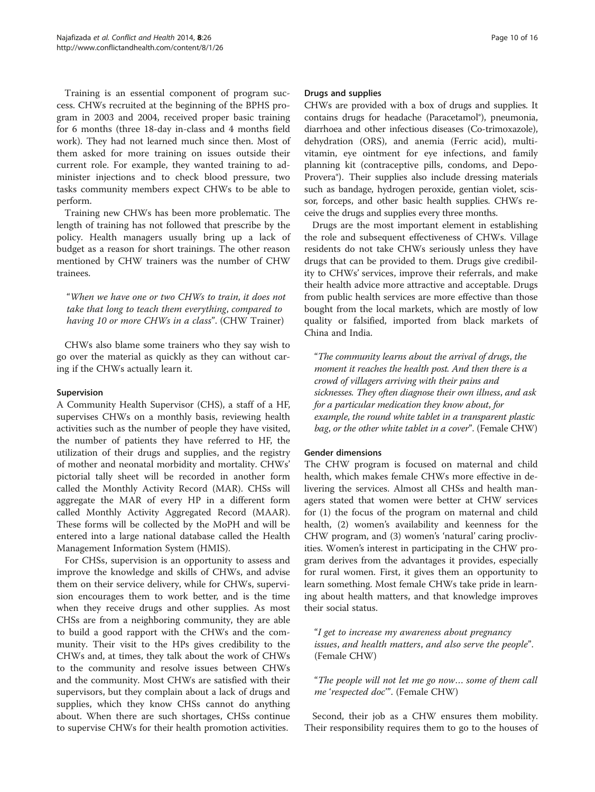Training is an essential component of program success. CHWs recruited at the beginning of the BPHS program in 2003 and 2004, received proper basic training for 6 months (three 18-day in-class and 4 months field work). They had not learned much since then. Most of them asked for more training on issues outside their current role. For example, they wanted training to administer injections and to check blood pressure, two tasks community members expect CHWs to be able to perform.

Training new CHWs has been more problematic. The length of training has not followed that prescribe by the policy. Health managers usually bring up a lack of budget as a reason for short trainings. The other reason mentioned by CHW trainers was the number of CHW trainees.

"When we have one or two CHWs to train, it does not take that long to teach them everything, compared to having 10 or more CHWs in a class". (CHW Trainer)

CHWs also blame some trainers who they say wish to go over the material as quickly as they can without caring if the CHWs actually learn it.

#### Supervision

A Community Health Supervisor (CHS), a staff of a HF, supervises CHWs on a monthly basis, reviewing health activities such as the number of people they have visited, the number of patients they have referred to HF, the utilization of their drugs and supplies, and the registry of mother and neonatal morbidity and mortality. CHWs' pictorial tally sheet will be recorded in another form called the Monthly Activity Record (MAR). CHSs will aggregate the MAR of every HP in a different form called Monthly Activity Aggregated Record (MAAR). These forms will be collected by the MoPH and will be entered into a large national database called the Health Management Information System (HMIS).

For CHSs, supervision is an opportunity to assess and improve the knowledge and skills of CHWs, and advise them on their service delivery, while for CHWs, supervision encourages them to work better, and is the time when they receive drugs and other supplies. As most CHSs are from a neighboring community, they are able to build a good rapport with the CHWs and the community. Their visit to the HPs gives credibility to the CHWs and, at times, they talk about the work of CHWs to the community and resolve issues between CHWs and the community. Most CHWs are satisfied with their supervisors, but they complain about a lack of drugs and supplies, which they know CHSs cannot do anything about. When there are such shortages, CHSs continue to supervise CHWs for their health promotion activities.

#### Drugs and supplies

CHWs are provided with a box of drugs and supplies. It contains drugs for headache (Paracetamol®), pneumonia, diarrhoea and other infectious diseases (Co-trimoxazole), dehydration (ORS), and anemia (Ferric acid), multivitamin, eye ointment for eye infections, and family planning kit (contraceptive pills, condoms, and Depo-Provera®). Their supplies also include dressing materials such as bandage, hydrogen peroxide, gentian violet, scissor, forceps, and other basic health supplies. CHWs receive the drugs and supplies every three months.

Drugs are the most important element in establishing the role and subsequent effectiveness of CHWs. Village residents do not take CHWs seriously unless they have drugs that can be provided to them. Drugs give credibility to CHWs' services, improve their referrals, and make their health advice more attractive and acceptable. Drugs from public health services are more effective than those bought from the local markets, which are mostly of low quality or falsified, imported from black markets of China and India.

"The community learns about the arrival of drugs, the moment it reaches the health post. And then there is a crowd of villagers arriving with their pains and sicknesses. They often diagnose their own illness, and ask for a particular medication they know about, for example, the round white tablet in a transparent plastic bag, or the other white tablet in a cover". (Female CHW)

#### Gender dimensions

The CHW program is focused on maternal and child health, which makes female CHWs more effective in delivering the services. Almost all CHSs and health managers stated that women were better at CHW services for (1) the focus of the program on maternal and child health, (2) women's availability and keenness for the CHW program, and (3) women's 'natural' caring proclivities. Women's interest in participating in the CHW program derives from the advantages it provides, especially for rural women. First, it gives them an opportunity to learn something. Most female CHWs take pride in learning about health matters, and that knowledge improves their social status.

"I get to increase my awareness about pregnancy issues, and health matters, and also serve the people". (Female CHW)

"The people will not let me go now… some of them call me 'respected doc'". (Female CHW)

Second, their job as a CHW ensures them mobility. Their responsibility requires them to go to the houses of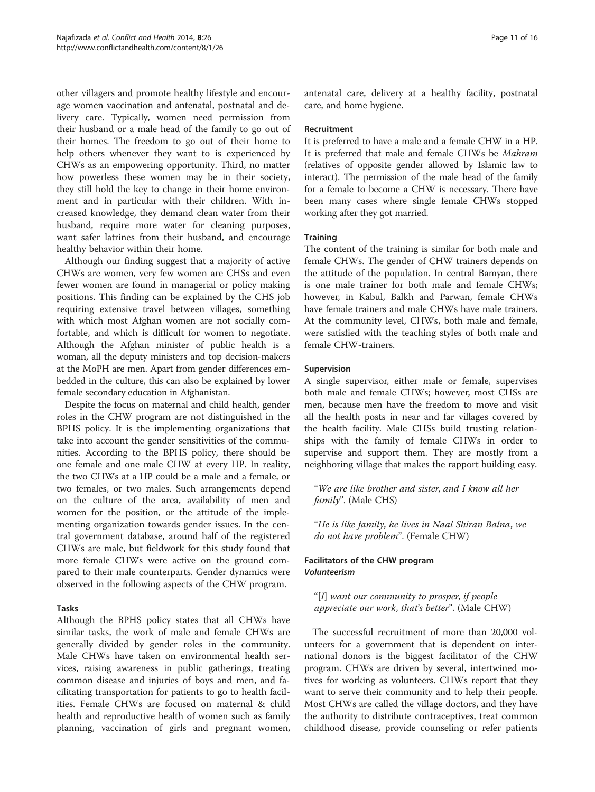other villagers and promote healthy lifestyle and encourage women vaccination and antenatal, postnatal and delivery care. Typically, women need permission from their husband or a male head of the family to go out of their homes. The freedom to go out of their home to help others whenever they want to is experienced by CHWs as an empowering opportunity. Third, no matter how powerless these women may be in their society, they still hold the key to change in their home environment and in particular with their children. With increased knowledge, they demand clean water from their husband, require more water for cleaning purposes, want safer latrines from their husband, and encourage healthy behavior within their home.

Although our finding suggest that a majority of active CHWs are women, very few women are CHSs and even fewer women are found in managerial or policy making positions. This finding can be explained by the CHS job requiring extensive travel between villages, something with which most Afghan women are not socially comfortable, and which is difficult for women to negotiate. Although the Afghan minister of public health is a woman, all the deputy ministers and top decision-makers at the MoPH are men. Apart from gender differences embedded in the culture, this can also be explained by lower female secondary education in Afghanistan.

Despite the focus on maternal and child health, gender roles in the CHW program are not distinguished in the BPHS policy. It is the implementing organizations that take into account the gender sensitivities of the communities. According to the BPHS policy, there should be one female and one male CHW at every HP. In reality, the two CHWs at a HP could be a male and a female, or two females, or two males. Such arrangements depend on the culture of the area, availability of men and women for the position, or the attitude of the implementing organization towards gender issues. In the central government database, around half of the registered CHWs are male, but fieldwork for this study found that more female CHWs were active on the ground compared to their male counterparts. Gender dynamics were observed in the following aspects of the CHW program.

### Tasks

Although the BPHS policy states that all CHWs have similar tasks, the work of male and female CHWs are generally divided by gender roles in the community. Male CHWs have taken on environmental health services, raising awareness in public gatherings, treating common disease and injuries of boys and men, and facilitating transportation for patients to go to health facilities. Female CHWs are focused on maternal & child health and reproductive health of women such as family planning, vaccination of girls and pregnant women, antenatal care, delivery at a healthy facility, postnatal care, and home hygiene.

#### Recruitment

It is preferred to have a male and a female CHW in a HP. It is preferred that male and female CHWs be Mahram (relatives of opposite gender allowed by Islamic law to interact). The permission of the male head of the family for a female to become a CHW is necessary. There have been many cases where single female CHWs stopped working after they got married.

#### **Training**

The content of the training is similar for both male and female CHWs. The gender of CHW trainers depends on the attitude of the population. In central Bamyan, there is one male trainer for both male and female CHWs; however, in Kabul, Balkh and Parwan, female CHWs have female trainers and male CHWs have male trainers. At the community level, CHWs, both male and female, were satisfied with the teaching styles of both male and female CHW-trainers.

#### Supervision

A single supervisor, either male or female, supervises both male and female CHWs; however, most CHSs are men, because men have the freedom to move and visit all the health posts in near and far villages covered by the health facility. Male CHSs build trusting relationships with the family of female CHWs in order to supervise and support them. They are mostly from a neighboring village that makes the rapport building easy.

"We are like brother and sister, and I know all her family". (Male CHS)

"He is like family, he lives in Naal Shiran Balna, we do not have problem". (Female CHW)

### Facilitators of the CHW program Volunteerism

"[I] want our community to prosper, if people appreciate our work, that's better". (Male CHW)

The successful recruitment of more than 20,000 volunteers for a government that is dependent on international donors is the biggest facilitator of the CHW program. CHWs are driven by several, intertwined motives for working as volunteers. CHWs report that they want to serve their community and to help their people. Most CHWs are called the village doctors, and they have the authority to distribute contraceptives, treat common childhood disease, provide counseling or refer patients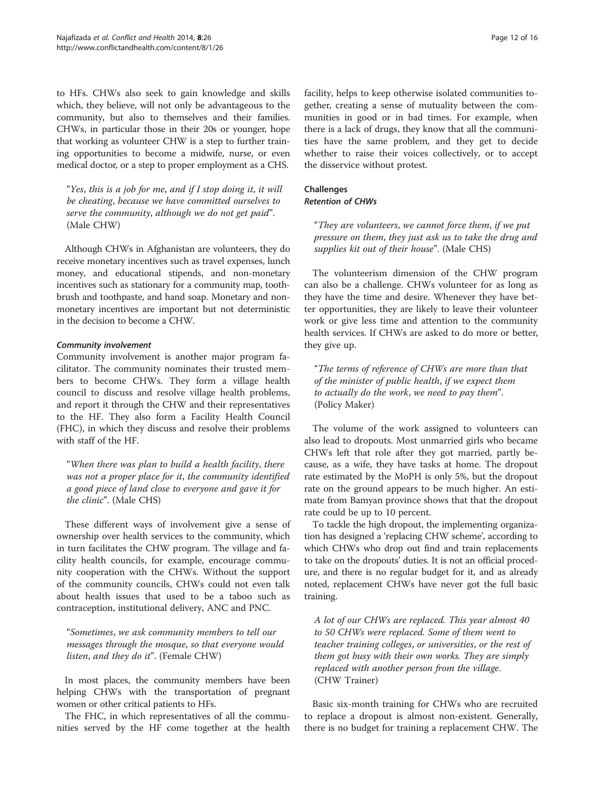to HFs. CHWs also seek to gain knowledge and skills which, they believe, will not only be advantageous to the community, but also to themselves and their families. CHWs, in particular those in their 20s or younger, hope that working as volunteer CHW is a step to further training opportunities to become a midwife, nurse, or even medical doctor, or a step to proper employment as a CHS.

"Yes, this is a job for me, and if I stop doing it, it will be cheating, because we have committed ourselves to serve the community, although we do not get paid". (Male CHW)

Although CHWs in Afghanistan are volunteers, they do receive monetary incentives such as travel expenses, lunch money, and educational stipends, and non-monetary incentives such as stationary for a community map, toothbrush and toothpaste, and hand soap. Monetary and nonmonetary incentives are important but not deterministic in the decision to become a CHW.

Community involvement Community involvement is another major program facilitator. The community nominates their trusted members to become CHWs. They form a village health council to discuss and resolve village health problems, and report it through the CHW and their representatives to the HF. They also form a Facility Health Council (FHC), in which they discuss and resolve their problems with staff of the HF.

"When there was plan to build a health facility, there was not a proper place for it, the community identified a good piece of land close to everyone and gave it for the clinic". (Male CHS)

These different ways of involvement give a sense of ownership over health services to the community, which in turn facilitates the CHW program. The village and facility health councils, for example, encourage community cooperation with the CHWs. Without the support of the community councils, CHWs could not even talk about health issues that used to be a taboo such as contraception, institutional delivery, ANC and PNC.

"Sometimes, we ask community members to tell our messages through the mosque, so that everyone would listen, and they do it". (Female CHW)

In most places, the community members have been helping CHWs with the transportation of pregnant women or other critical patients to HFs.

The FHC, in which representatives of all the communities served by the HF come together at the health facility, helps to keep otherwise isolated communities together, creating a sense of mutuality between the communities in good or in bad times. For example, when there is a lack of drugs, they know that all the communities have the same problem, and they get to decide whether to raise their voices collectively, or to accept the disservice without protest.

# Challenges

"They are volunteers, we cannot force them, if we put pressure on them, they just ask us to take the drug and supplies kit out of their house". (Male CHS)

The volunteerism dimension of the CHW program can also be a challenge. CHWs volunteer for as long as they have the time and desire. Whenever they have better opportunities, they are likely to leave their volunteer work or give less time and attention to the community health services. If CHWs are asked to do more or better, they give up.

"The terms of reference of CHWs are more than that of the minister of public health, if we expect them to actually do the work, we need to pay them". (Policy Maker)

The volume of the work assigned to volunteers can also lead to dropouts. Most unmarried girls who became CHWs left that role after they got married, partly because, as a wife, they have tasks at home. The dropout rate estimated by the MoPH is only 5%, but the dropout rate on the ground appears to be much higher. An estimate from Bamyan province shows that that the dropout rate could be up to 10 percent.

To tackle the high dropout, the implementing organization has designed a 'replacing CHW scheme', according to which CHWs who drop out find and train replacements to take on the dropouts' duties. It is not an official procedure, and there is no regular budget for it, and as already noted, replacement CHWs have never got the full basic training.

A lot of our CHWs are replaced. This year almost 40 to 50 CHWs were replaced. Some of them went to teacher training colleges, or universities, or the rest of them got busy with their own works. They are simply replaced with another person from the village. (CHW Trainer)

Basic six-month training for CHWs who are recruited to replace a dropout is almost non-existent. Generally, there is no budget for training a replacement CHW. The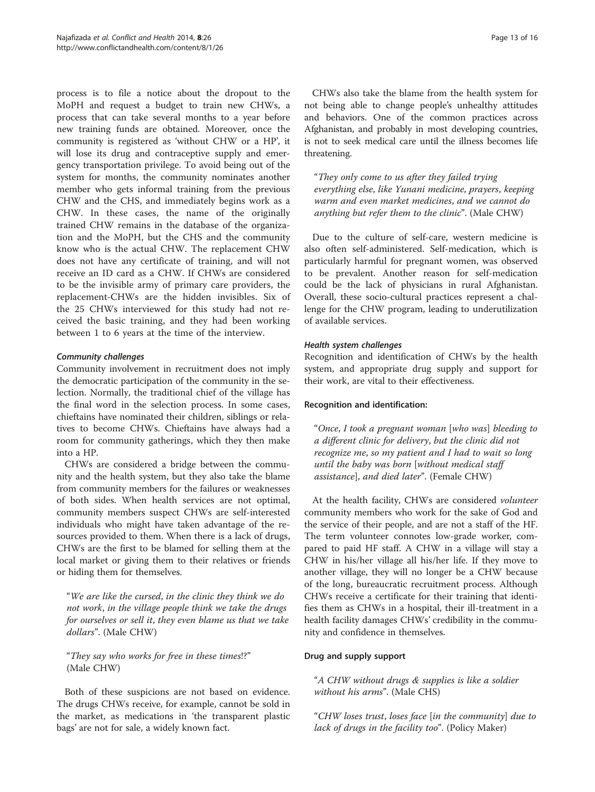process is to file a notice about the dropout to the MoPH and request a budget to train new CHWs, a process that can take several months to a year before new training funds are obtained. Moreover, once the community is registered as 'without CHW or a HP', it will lose its drug and contraceptive supply and emergency transportation privilege. To avoid being out of the system for months, the community nominates another member who gets informal training from the previous CHW and the CHS, and immediately begins work as a CHW. In these cases, the name of the originally trained CHW remains in the database of the organization and the MoPH, but the CHS and the community know who is the actual CHW. The replacement CHW does not have any certificate of training, and will not receive an ID card as a CHW. If CHWs are considered to be the invisible army of primary care providers, the replacement-CHWs are the hidden invisibles. Six of the 25 CHWs interviewed for this study had not received the basic training, and they had been working between 1 to 6 years at the time of the interview.

Community involvement in recruitment does not imply the democratic participation of the community in the selection. Normally, the traditional chief of the village has the final word in the selection process. In some cases, chieftains have nominated their children, siblings or relatives to become CHWs. Chieftains have always had a room for community gatherings, which they then make into a HP.

CHWs are considered a bridge between the community and the health system, but they also take the blame from community members for the failures or weaknesses of both sides. When health services are not optimal, community members suspect CHWs are self-interested individuals who might have taken advantage of the resources provided to them. When there is a lack of drugs, CHWs are the first to be blamed for selling them at the local market or giving them to their relatives or friends or hiding them for themselves.

"We are like the cursed, in the clinic they think we do not work, in the village people think we take the drugs for ourselves or sell it, they even blame us that we take dollars". (Male CHW)

"They say who works for free in these times!?" (Male CHW)

Both of these suspicions are not based on evidence. The drugs CHWs receive, for example, cannot be sold in the market, as medications in 'the transparent plastic bags' are not for sale, a widely known fact.

CHWs also take the blame from the health system for not being able to change people's unhealthy attitudes and behaviors. One of the common practices across Afghanistan, and probably in most developing countries, is not to seek medical care until the illness becomes life threatening.

"They only come to us after they failed trying everything else, like Yunani medicine, prayers, keeping warm and even market medicines, and we cannot do anything but refer them to the clinic". (Male CHW)

Due to the culture of self-care, western medicine is also often self-administered. Self-medication, which is particularly harmful for pregnant women, was observed to be prevalent. Another reason for self-medication could be the lack of physicians in rural Afghanistan. Overall, these socio-cultural practices represent a challenge for the CHW program, leading to underutilization of available services.

Recognition and identification of CHWs by the health system, and appropriate drug supply and support for their work, are vital to their effectiveness.

### Recognition and identification:

"Once, I took a pregnant woman [who was] bleeding to a different clinic for delivery, but the clinic did not recognize me, so my patient and I had to wait so long until the baby was born [without medical staff assistance], and died later". (Female CHW)

At the health facility, CHWs are considered volunteer community members who work for the sake of God and the service of their people, and are not a staff of the HF. The term volunteer connotes low-grade worker, compared to paid HF staff. A CHW in a village will stay a CHW in his/her village all his/her life. If they move to another village, they will no longer be a CHW because of the long, bureaucratic recruitment process. Although CHWs receive a certificate for their training that identifies them as CHWs in a hospital, their ill-treatment in a health facility damages CHWs' credibility in the community and confidence in themselves.

### Drug and supply support

"A CHW without drugs & supplies is like a soldier without his arms". (Male CHS)

"CHW loses trust, loses face [in the community] due to lack of drugs in the facility too". (Policy Maker)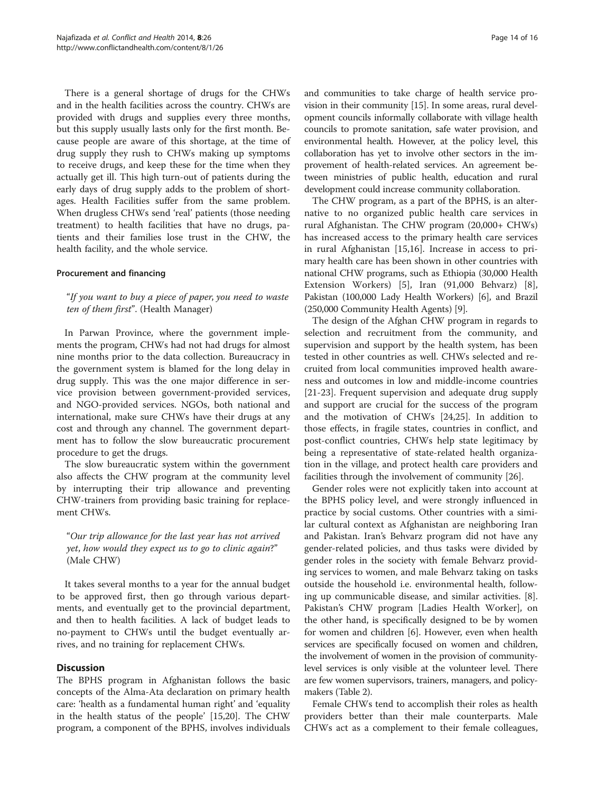There is a general shortage of drugs for the CHWs and in the health facilities across the country. CHWs are provided with drugs and supplies every three months, but this supply usually lasts only for the first month. Because people are aware of this shortage, at the time of drug supply they rush to CHWs making up symptoms to receive drugs, and keep these for the time when they actually get ill. This high turn-out of patients during the early days of drug supply adds to the problem of shortages. Health Facilities suffer from the same problem. When drugless CHWs send 'real' patients (those needing treatment) to health facilities that have no drugs, patients and their families lose trust in the CHW, the health facility, and the whole service.

#### Procurement and financing

## "If you want to buy a piece of paper, you need to waste ten of them first". (Health Manager)

In Parwan Province, where the government implements the program, CHWs had not had drugs for almost nine months prior to the data collection. Bureaucracy in the government system is blamed for the long delay in drug supply. This was the one major difference in service provision between government-provided services, and NGO-provided services. NGOs, both national and international, make sure CHWs have their drugs at any cost and through any channel. The government department has to follow the slow bureaucratic procurement procedure to get the drugs.

The slow bureaucratic system within the government also affects the CHW program at the community level by interrupting their trip allowance and preventing CHW-trainers from providing basic training for replacement CHWs.

"Our trip allowance for the last year has not arrived yet, how would they expect us to go to clinic again?" (Male CHW)

It takes several months to a year for the annual budget to be approved first, then go through various departments, and eventually get to the provincial department, and then to health facilities. A lack of budget leads to no-payment to CHWs until the budget eventually arrives, and no training for replacement CHWs.

### **Discussion**

The BPHS program in Afghanistan follows the basic concepts of the Alma-Ata declaration on primary health care: 'health as a fundamental human right' and 'equality in the health status of the people' [\[15,20](#page-15-0)]. The CHW program, a component of the BPHS, involves individuals and communities to take charge of health service provision in their community [\[15](#page-15-0)]. In some areas, rural development councils informally collaborate with village health councils to promote sanitation, safe water provision, and environmental health. However, at the policy level, this collaboration has yet to involve other sectors in the improvement of health-related services. An agreement between ministries of public health, education and rural development could increase community collaboration.

The CHW program, as a part of the BPHS, is an alternative to no organized public health care services in rural Afghanistan. The CHW program (20,000+ CHWs) has increased access to the primary health care services in rural Afghanistan [\[15,16](#page-15-0)]. Increase in access to primary health care has been shown in other countries with national CHW programs, such as Ethiopia (30,000 Health Extension Workers) [\[5](#page-15-0)], Iran (91,000 Behvarz) [\[8](#page-15-0)], Pakistan (100,000 Lady Health Workers) [\[6\]](#page-15-0), and Brazil (250,000 Community Health Agents) [\[9](#page-15-0)].

The design of the Afghan CHW program in regards to selection and recruitment from the community, and supervision and support by the health system, has been tested in other countries as well. CHWs selected and recruited from local communities improved health awareness and outcomes in low and middle-income countries [[21-23](#page-15-0)]. Frequent supervision and adequate drug supply and support are crucial for the success of the program and the motivation of CHWs [\[24,25\]](#page-15-0). In addition to those effects, in fragile states, countries in conflict, and post-conflict countries, CHWs help state legitimacy by being a representative of state-related health organization in the village, and protect health care providers and facilities through the involvement of community [\[26\]](#page-15-0).

Gender roles were not explicitly taken into account at the BPHS policy level, and were strongly influenced in practice by social customs. Other countries with a similar cultural context as Afghanistan are neighboring Iran and Pakistan. Iran's Behvarz program did not have any gender-related policies, and thus tasks were divided by gender roles in the society with female Behvarz providing services to women, and male Behvarz taking on tasks outside the household i.e. environmental health, following up communicable disease, and similar activities. [\[8](#page-15-0)]. Pakistan's CHW program [Ladies Health Worker], on the other hand, is specifically designed to be by women for women and children [\[6](#page-15-0)]. However, even when health services are specifically focused on women and children, the involvement of women in the provision of communitylevel services is only visible at the volunteer level. There are few women supervisors, trainers, managers, and policymakers (Table [2\)](#page-3-0).

Female CHWs tend to accomplish their roles as health providers better than their male counterparts. Male CHWs act as a complement to their female colleagues,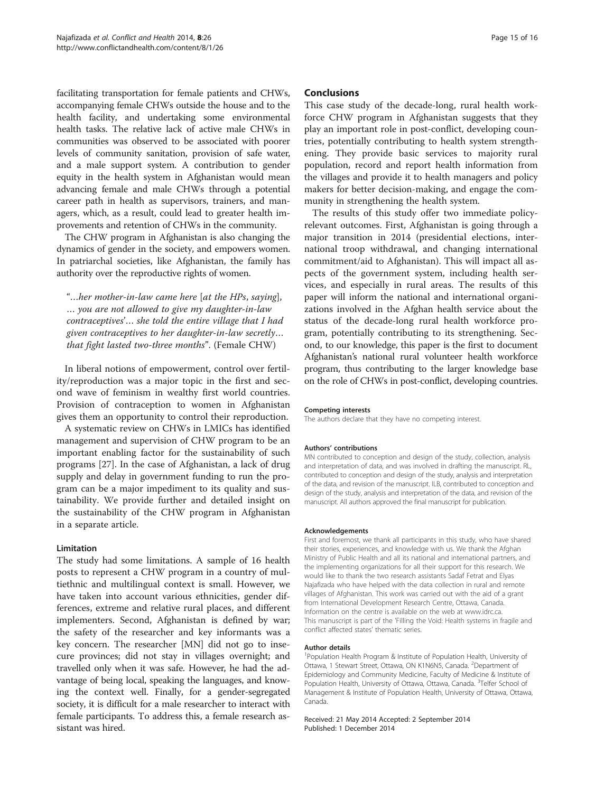facilitating transportation for female patients and CHWs, accompanying female CHWs outside the house and to the health facility, and undertaking some environmental health tasks. The relative lack of active male CHWs in communities was observed to be associated with poorer levels of community sanitation, provision of safe water, and a male support system. A contribution to gender equity in the health system in Afghanistan would mean advancing female and male CHWs through a potential career path in health as supervisors, trainers, and managers, which, as a result, could lead to greater health improvements and retention of CHWs in the community.

The CHW program in Afghanistan is also changing the dynamics of gender in the society, and empowers women. In patriarchal societies, like Afghanistan, the family has authority over the reproductive rights of women.

"…her mother-in-law came here [at the HPs, saying], … you are not allowed to give my daughter-in-law contraceptives'… she told the entire village that I had given contraceptives to her daughter-in-law secretly… that fight lasted two-three months". (Female CHW)

In liberal notions of empowerment, control over fertility/reproduction was a major topic in the first and second wave of feminism in wealthy first world countries. Provision of contraception to women in Afghanistan gives them an opportunity to control their reproduction.

A systematic review on CHWs in LMICs has identified management and supervision of CHW program to be an important enabling factor for the sustainability of such programs [[27\]](#page-15-0). In the case of Afghanistan, a lack of drug supply and delay in government funding to run the program can be a major impediment to its quality and sustainability. We provide further and detailed insight on the sustainability of the CHW program in Afghanistan in a separate article.

#### Limitation

The study had some limitations. A sample of 16 health posts to represent a CHW program in a country of multiethnic and multilingual context is small. However, we have taken into account various ethnicities, gender differences, extreme and relative rural places, and different implementers. Second, Afghanistan is defined by war; the safety of the researcher and key informants was a key concern. The researcher [MN] did not go to insecure provinces; did not stay in villages overnight; and travelled only when it was safe. However, he had the advantage of being local, speaking the languages, and knowing the context well. Finally, for a gender-segregated society, it is difficult for a male researcher to interact with female participants. To address this, a female research assistant was hired.

#### Conclusions

This case study of the decade-long, rural health workforce CHW program in Afghanistan suggests that they play an important role in post-conflict, developing countries, potentially contributing to health system strengthening. They provide basic services to majority rural population, record and report health information from the villages and provide it to health managers and policy makers for better decision-making, and engage the community in strengthening the health system.

The results of this study offer two immediate policyrelevant outcomes. First, Afghanistan is going through a major transition in 2014 (presidential elections, international troop withdrawal, and changing international commitment/aid to Afghanistan). This will impact all aspects of the government system, including health services, and especially in rural areas. The results of this paper will inform the national and international organizations involved in the Afghan health service about the status of the decade-long rural health workforce program, potentially contributing to its strengthening. Second, to our knowledge, this paper is the first to document Afghanistan's national rural volunteer health workforce program, thus contributing to the larger knowledge base on the role of CHWs in post-conflict, developing countries.

#### Competing interests

The authors declare that they have no competing interest.

#### Authors' contributions

MN contributed to conception and design of the study, collection, analysis and interpretation of data, and was involved in drafting the manuscript. RL, contributed to conception and design of the study, analysis and interpretation of the data, and revision of the manuscript. ILB, contributed to conception and design of the study, analysis and interpretation of the data, and revision of the manuscript. All authors approved the final manuscript for publication.

#### Acknowledgements

First and foremost, we thank all participants in this study, who have shared their stories, experiences, and knowledge with us. We thank the Afghan Ministry of Public Health and all its national and international partners, and the implementing organizations for all their support for this research. We would like to thank the two research assistants Sadaf Fetrat and Elyas Najafizada who have helped with the data collection in rural and remote villages of Afghanistan. This work was carried out with the aid of a grant from International Development Research Centre, Ottawa, Canada. Information on the centre is available on the web at [www.idrc.ca.](http://www.idrc.ca) This manuscript is part of the 'Filling the Void: Health systems in fragile and conflict affected states' thematic series.

#### Author details

<sup>1</sup> Population Health Program & Institute of Population Health, University of Ottawa, 1 Stewart Street, Ottawa, ON K1N6N5, Canada. <sup>2</sup>Department of Epidemiology and Community Medicine, Faculty of Medicine & Institute of Population Health, University of Ottawa, Ottawa, Canada. <sup>3</sup>Telfer School of Management & Institute of Population Health, University of Ottawa, Ottawa, Canada.

Received: 21 May 2014 Accepted: 2 September 2014 Published: 1 December 2014